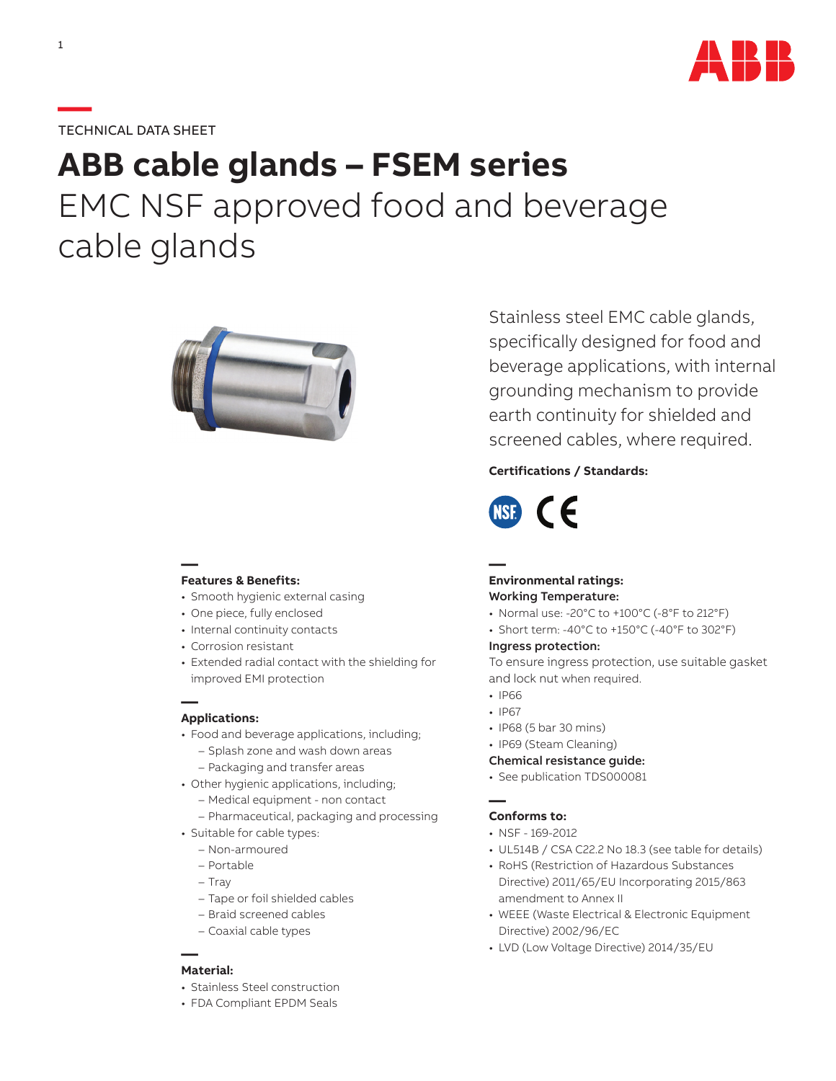

# **—**TECHNICAL DATA SHEET

# **ABB cable glands – FSEM series** EMC NSF approved food and beverage cable glands



#### **— Features & Benefits:**

- Smooth hygienic external casing
- One piece, fully enclosed
- Internal continuity contacts
- Corrosion resistant
- Extended radial contact with the shielding for improved EMI protection

## **— Applications:**

- Food and beverage applications, including;
	- Splash zone and wash down areas – Packaging and transfer areas
- Other hygienic applications, including; – Medical equipment - non contact
	- Pharmaceutical, packaging and processing
- Suitable for cable types:
	- Non-armoured
	- Portable
	- Tray
	- Tape or foil shielded cables
	- Braid screened cables
	- Coaxial cable types

#### **— Material:**

- Stainless Steel construction
- FDA Compliant EPDM Seals

Stainless steel EMC cable glands, specifically designed for food and beverage applications, with internal grounding mechanism to provide earth continuity for shielded and screened cables, where required.

## **Certifications / Standards:**



## **— Environmental ratings:** Working Temperature:

- Normal use: -20°C to +100°C (-8°F to 212°F)
- Short term: -40°C to +150°C (-40°F to 302°F)

#### Ingress protection:

To ensure ingress protection, use suitable gasket and lock nut when required.

- IP66
- IP67
- IP68 (5 bar 30 mins)
- IP69 (Steam Cleaning)
- Chemical resistance guide:
- See publication TDS000081

#### **— Conforms to:**

- NSF 169-2012
- UL514B / CSA C22.2 No 18.3 (see table for details)
- RoHS (Restriction of Hazardous Substances Directive) 2011/65/EU Incorporating 2015/863 amendment to Annex II
- WEEE (Waste Electrical & Electronic Equipment Directive) 2002/96/EC
- LVD (Low Voltage Directive) 2014/35/EU